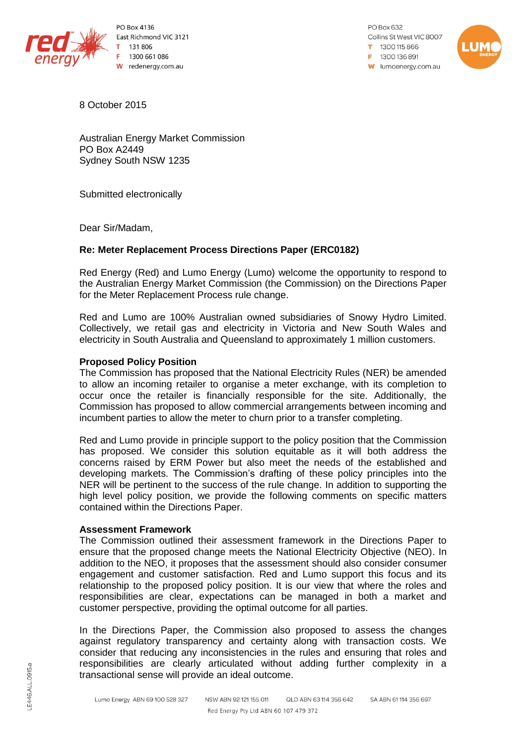

**PO Box 4136** East Richmond VIC 3121 131806 1300 661 086 W redenergy.com.au

PO Box 632 Collins St West VIC 8007  $1300115866$ F 1300136891 **w** lumoenergy.com.au



8 October 2015

Australian Energy Market Commission PO Box A2449 Sydney South NSW 1235

Submitted electronically

Dear Sir/Madam,

## **Re: Meter Replacement Process Directions Paper (ERC0182)**

Red Energy (Red) and Lumo Energy (Lumo) welcome the opportunity to respond to the Australian Energy Market Commission (the Commission) on the Directions Paper for the Meter Replacement Process rule change.

Red and Lumo are 100% Australian owned subsidiaries of Snowy Hydro Limited. Collectively, we retail gas and electricity in Victoria and New South Wales and electricity in South Australia and Queensland to approximately 1 million customers.

## **Proposed Policy Position**

The Commission has proposed that the National Electricity Rules (NER) be amended to allow an incoming retailer to organise a meter exchange, with its completion to occur once the retailer is financially responsible for the site. Additionally, the Commission has proposed to allow commercial arrangements between incoming and incumbent parties to allow the meter to churn prior to a transfer completing.

Red and Lumo provide in principle support to the policy position that the Commission has proposed. We consider this solution equitable as it will both address the concerns raised by ERM Power but also meet the needs of the established and developing markets. The Commission's drafting of these policy principles into the NER will be pertinent to the success of the rule change. In addition to supporting the high level policy position, we provide the following comments on specific matters contained within the Directions Paper.

## **Assessment Framework**

The Commission outlined their assessment framework in the Directions Paper to ensure that the proposed change meets the National Electricity Objective (NEO). In addition to the NEO, it proposes that the assessment should also consider consumer engagement and customer satisfaction. Red and Lumo support this focus and its relationship to the proposed policy position. It is our view that where the roles and responsibilities are clear, expectations can be managed in both a market and customer perspective, providing the optimal outcome for all parties.

In the Directions Paper, the Commission also proposed to assess the changes against regulatory transparency and certainty along with transaction costs. We consider that reducing any inconsistencies in the rules and ensuring that roles and responsibilities are clearly articulated without adding further complexity in a transactional sense will provide an ideal outcome.